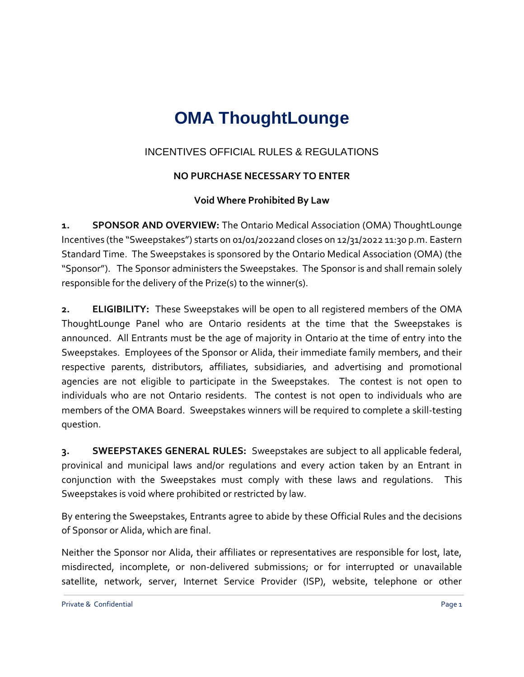## **OMA ThoughtLounge**

## INCENTIVES OFFICIAL RULES & REGULATIONS

## **NO PURCHASE NECESSARY TO ENTER**

## **Void Where Prohibited By Law**

**1. SPONSOR AND OVERVIEW:** The Ontario Medical Association (OMA) ThoughtLounge Incentives (the "Sweepstakes") starts on 01/01/2022and closes on 12/31/2022 11:30 p.m. Eastern Standard Time. The Sweepstakes is sponsored by the Ontario Medical Association (OMA) (the "Sponsor"). The Sponsor administers the Sweepstakes. The Sponsor is and shall remain solely responsible for the delivery of the Prize(s) to the winner(s).

**2. ELIGIBILITY:** These Sweepstakes will be open to all registered members of the OMA ThoughtLounge Panel who are Ontario residents at the time that the Sweepstakes is announced. All Entrants must be the age of majority in Ontario at the time of entry into the Sweepstakes. Employees of the Sponsor or Alida, their immediate family members, and their respective parents, distributors, affiliates, subsidiaries, and advertising and promotional agencies are not eligible to participate in the Sweepstakes. The contest is not open to individuals who are not Ontario residents. The contest is not open to individuals who are members of the OMA Board. Sweepstakes winners will be required to complete a skill-testing question.

**3. SWEEPSTAKES GENERAL RULES:** Sweepstakes are subject to all applicable federal, provinical and municipal laws and/or regulations and every action taken by an Entrant in conjunction with the Sweepstakes must comply with these laws and regulations.This Sweepstakes is void where prohibited or restricted by law.

By entering the Sweepstakes, Entrants agree to abide by these Official Rules and the decisions of Sponsor or Alida, which are final.

Neither the Sponsor nor Alida, their affiliates or representatives are responsible for lost, late, misdirected, incomplete, or non-delivered submissions; or for interrupted or unavailable satellite, network, server, Internet Service Provider (ISP), website, telephone or other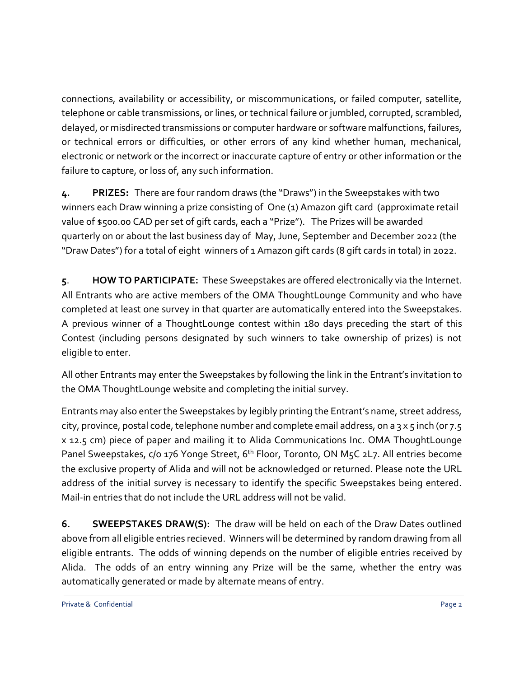connections, availability or accessibility, or miscommunications, or failed computer, satellite, telephone or cable transmissions, or lines, or technical failure or jumbled, corrupted, scrambled, delayed, or misdirected transmissions or computer hardware or software malfunctions, failures, or technical errors or difficulties, or other errors of any kind whether human, mechanical, electronic or network or the incorrect or inaccurate capture of entry or other information or the failure to capture, or loss of, any such information.

**4. PRIZES:** There are four random draws (the "Draws") in the Sweepstakes with two winners each Draw winning a prize consisting of One (1) Amazon gift card (approximate retail value of \$500.00 CAD per set of gift cards, each a "Prize"). The Prizes will be awarded quarterly on or about the last business day of May, June, September and December 2022 (the "Draw Dates") for a total of eight winners of 1 Amazon gift cards (8 gift cards in total) in 2022.

**5**. **HOW TO PARTICIPATE:** These Sweepstakes are offered electronically via the Internet. All Entrants who are active members of the OMA ThoughtLounge Community and who have completed at least one survey in that quarter are automatically entered into the Sweepstakes. A previous winner of a ThoughtLounge contest within 180 days preceding the start of this Contest (including persons designated by such winners to take ownership of prizes) is not eligible to enter.

All other Entrants may enter the Sweepstakes by following the link in the Entrant's invitation to the OMA ThoughtLounge website and completing the initial survey.

Entrants may also enter the Sweepstakes by legibly printing the Entrant's name, street address, city, province, postal code, telephone number and complete email address, on a 3 x 5 inch (or 7.5 x 12.5 cm) piece of paper and mailing it to Alida Communications Inc. OMA ThoughtLounge Panel Sweepstakes, c/o 176 Yonge Street, 6<sup>th</sup> Floor, Toronto, ON M5C 2L7. All entries become the exclusive property of Alida and will not be acknowledged or returned. Please note the URL address of the initial survey is necessary to identify the specific Sweepstakes being entered. Mail-in entries that do not include the URL address will not be valid.

**6. SWEEPSTAKES DRAW(S):** The draw will be held on each of the Draw Dates outlined above from all eligible entries recieved. Winners will be determined by random drawing from all eligible entrants. The odds of winning depends on the number of eligible entries received by Alida. The odds of an entry winning any Prize will be the same, whether the entry was automatically generated or made by alternate means of entry.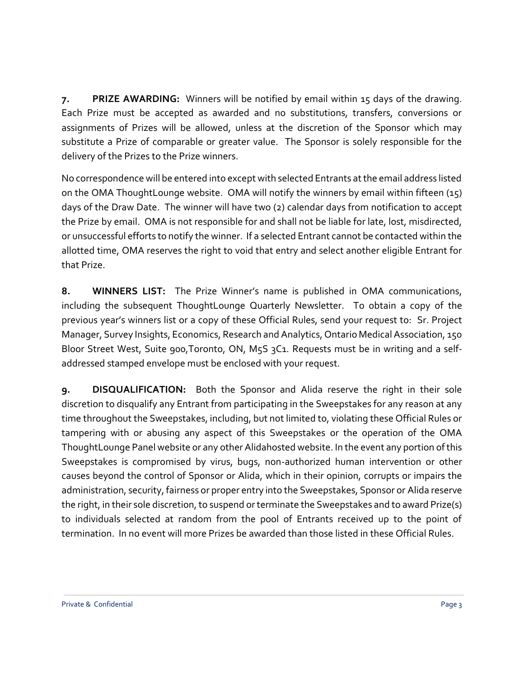**7. PRIZE AWARDING:** Winners will be notified by email within 15 days of the drawing. Each Prize must be accepted as awarded and no substitutions, transfers, conversions or assignments of Prizes will be allowed, unless at the discretion of the Sponsor which may substitute a Prize of comparable or greater value. The Sponsor is solely responsible for the delivery of the Prizes to the Prize winners.

No correspondence will be entered into except with selected Entrants at the email address listed on the OMA ThoughtLounge website. OMA will notify the winners by email within fifteen (15) days of the Draw Date. The winner will have two (2) calendar days from notification to accept the Prize by email. OMA is not responsible for and shall not be liable for late, lost, misdirected, or unsuccessful efforts to notify the winner. If a selected Entrant cannot be contacted within the allotted time, OMA reserves the right to void that entry and select another eligible Entrant for that Prize.

**8. WINNERS LIST:** The Prize Winner's name is published in OMA communications, including the subsequent ThoughtLounge Quarterly Newsletter. To obtain a copy of the previous year's winners list or a copy of these Official Rules, send your request to: Sr. Project Manager, Survey Insights, Economics, Research and Analytics, Ontario Medical Association, 150 Bloor Street West, Suite 900, Toronto, ON, M5S 3C1. Requests must be in writing and a selfaddressed stamped envelope must be enclosed with your request.

**9. DISQUALIFICATION:** Both the Sponsor and Alida reserve the right in their sole discretion to disqualify any Entrant from participating in the Sweepstakes for any reason at any time throughout the Sweepstakes, including, but not limited to, violating these Official Rules or tampering with or abusing any aspect of this Sweepstakes or the operation of the OMA ThoughtLounge Panel website or any other Alidahosted website. In the event any portion of this Sweepstakes is compromised by virus, bugs, non-authorized human intervention or other causes beyond the control of Sponsor or Alida, which in their opinion, corrupts or impairs the administration, security, fairness or proper entry into the Sweepstakes, Sponsor or Alida reserve the right, in their sole discretion, to suspend or terminate the Sweepstakes and to award Prize(s) to individuals selected at random from the pool of Entrants received up to the point of termination. In no event will more Prizes be awarded than those listed in these Official Rules.